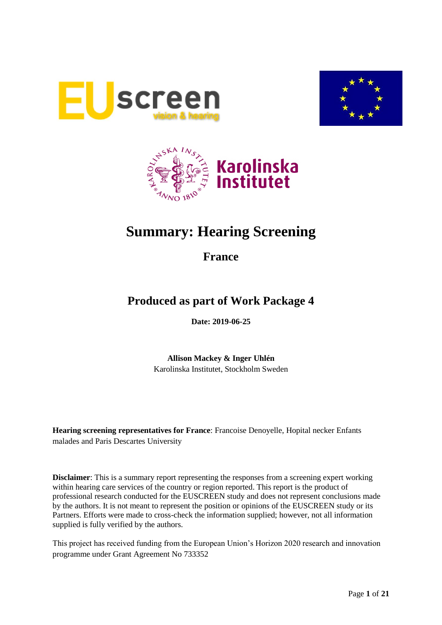





# **Summary: Hearing Screening**

**France**

## **Produced as part of Work Package 4**

**Date: 2019-06-25**

**Allison Mackey & Inger Uhlén** Karolinska Institutet, Stockholm Sweden

**Hearing screening representatives for France**: Francoise Denoyelle, Hopital necker Enfants malades and Paris Descartes University

**Disclaimer**: This is a summary report representing the responses from a screening expert working within hearing care services of the country or region reported. This report is the product of professional research conducted for the EUSCREEN study and does not represent conclusions made by the authors. It is not meant to represent the position or opinions of the EUSCREEN study or its Partners. Efforts were made to cross-check the information supplied; however, not all information supplied is fully verified by the authors.

This project has received funding from the European Union's Horizon 2020 research and innovation programme under Grant Agreement No 733352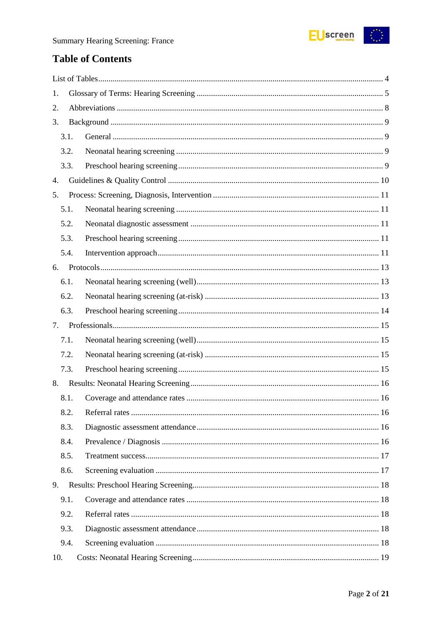

### **Table of Contents**

| 1.   |  |
|------|--|
| 2.   |  |
| 3.   |  |
| 3.1. |  |
| 3.2. |  |
| 3.3. |  |
| 4.   |  |
| 5.   |  |
| 5.1. |  |
| 5.2. |  |
| 5.3. |  |
| 5.4. |  |
| 6.   |  |
| 6.1. |  |
| 6.2. |  |
| 6.3. |  |
| 7.   |  |
| 7.1. |  |
| 7.2. |  |
| 7.3. |  |
| 8.   |  |
| 8.1. |  |
| 8.2. |  |
| 8.3. |  |
| 8.4. |  |
| 8.5. |  |
| 8.6. |  |
| 9.   |  |
| 9.1. |  |
| 9.2. |  |
| 9.3. |  |
| 9.4. |  |
| 10.  |  |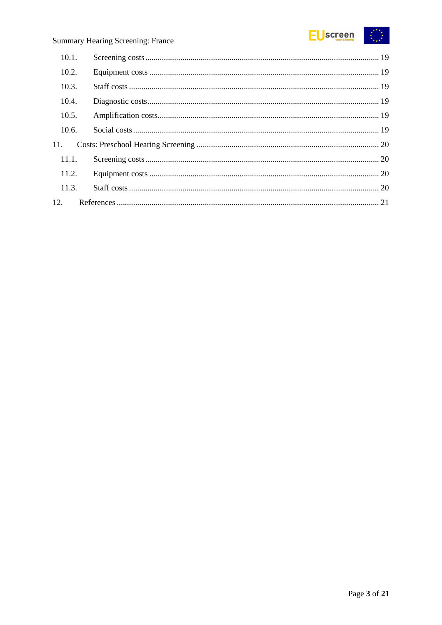

| 10.1. |  |
|-------|--|
| 10.2. |  |
| 10.3. |  |
| 10.4. |  |
| 10.5. |  |
| 10.6. |  |
| 11.   |  |
| 11.1. |  |
| 11.2. |  |
| 11.3. |  |
|       |  |
|       |  |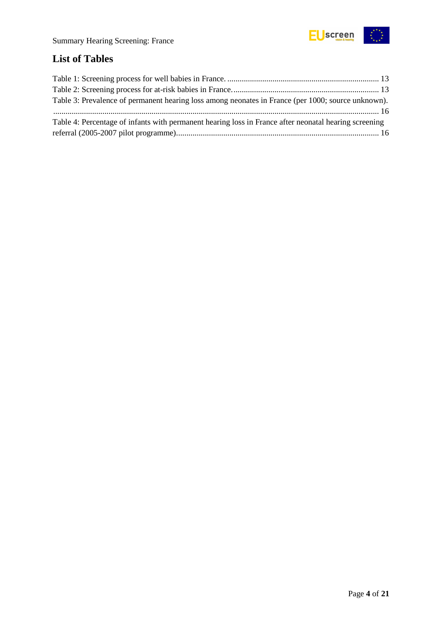

## <span id="page-3-0"></span>**List of Tables**

| Table 3: Prevalence of permanent hearing loss among neonates in France (per 1000; source unknown).    |  |
|-------------------------------------------------------------------------------------------------------|--|
|                                                                                                       |  |
| Table 4: Percentage of infants with permanent hearing loss in France after neonatal hearing screening |  |
|                                                                                                       |  |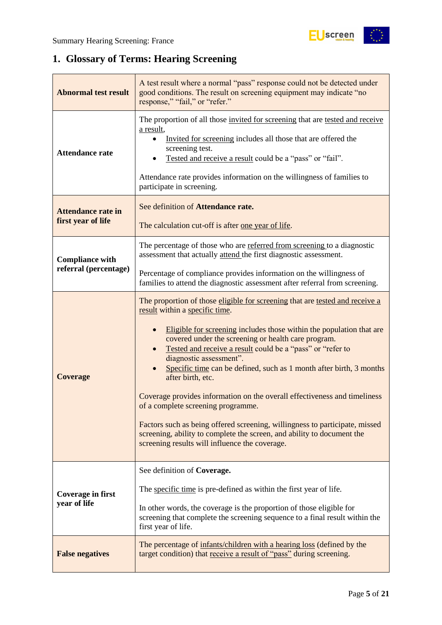## <span id="page-4-0"></span>**1. Glossary of Terms: Hearing Screening**

| <b>Abnormal test result</b>                     | A test result where a normal "pass" response could not be detected under<br>good conditions. The result on screening equipment may indicate "no<br>response," "fail," or "refer."                                                                                                                                                                                                                                                                                                                                                                                                                                                                                                                                                                                |  |  |  |
|-------------------------------------------------|------------------------------------------------------------------------------------------------------------------------------------------------------------------------------------------------------------------------------------------------------------------------------------------------------------------------------------------------------------------------------------------------------------------------------------------------------------------------------------------------------------------------------------------------------------------------------------------------------------------------------------------------------------------------------------------------------------------------------------------------------------------|--|--|--|
| <b>Attendance rate</b>                          | The proportion of all those invited for screening that are tested and receive<br>a result,<br>Invited for screening includes all those that are offered the<br>screening test.<br>Tested and receive a result could be a "pass" or "fail".<br>Attendance rate provides information on the willingness of families to<br>participate in screening.                                                                                                                                                                                                                                                                                                                                                                                                                |  |  |  |
| <b>Attendance rate in</b><br>first year of life | See definition of Attendance rate.<br>The calculation cut-off is after one year of life.                                                                                                                                                                                                                                                                                                                                                                                                                                                                                                                                                                                                                                                                         |  |  |  |
| <b>Compliance with</b>                          | The percentage of those who are referred from screening to a diagnostic<br>assessment that actually attend the first diagnostic assessment.                                                                                                                                                                                                                                                                                                                                                                                                                                                                                                                                                                                                                      |  |  |  |
| referral (percentage)                           | Percentage of compliance provides information on the willingness of<br>families to attend the diagnostic assessment after referral from screening.                                                                                                                                                                                                                                                                                                                                                                                                                                                                                                                                                                                                               |  |  |  |
| <b>Coverage</b>                                 | The proportion of those eligible for screening that are tested and receive a<br>result within a specific time.<br>Eligible for screening includes those within the population that are<br>covered under the screening or health care program.<br>Tested and receive a result could be a "pass" or "refer to<br>diagnostic assessment".<br>Specific time can be defined, such as 1 month after birth, 3 months<br>after birth, etc.<br>Coverage provides information on the overall effectiveness and timeliness<br>of a complete screening programme.<br>Factors such as being offered screening, willingness to participate, missed<br>screening, ability to complete the screen, and ability to document the<br>screening results will influence the coverage. |  |  |  |
| Coverage in first<br>year of life               | See definition of Coverage.<br>The specific time is pre-defined as within the first year of life.<br>In other words, the coverage is the proportion of those eligible for<br>screening that complete the screening sequence to a final result within the<br>first year of life.                                                                                                                                                                                                                                                                                                                                                                                                                                                                                  |  |  |  |
| <b>False negatives</b>                          | The percentage of infants/children with a hearing loss (defined by the<br>target condition) that receive a result of "pass" during screening.                                                                                                                                                                                                                                                                                                                                                                                                                                                                                                                                                                                                                    |  |  |  |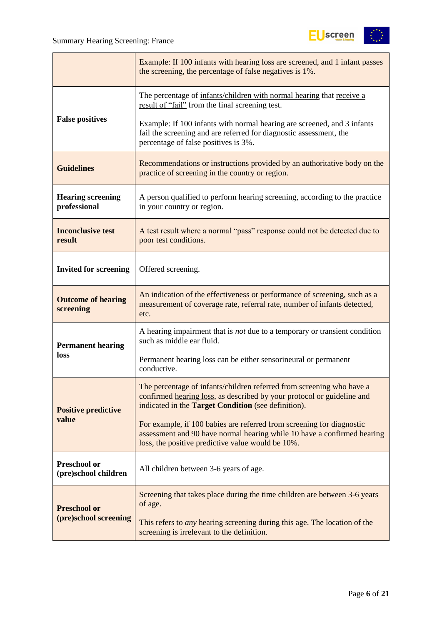

|                                             | Example: If 100 infants with hearing loss are screened, and 1 infant passes<br>the screening, the percentage of false negatives is 1%.                                                                        |  |  |  |  |
|---------------------------------------------|---------------------------------------------------------------------------------------------------------------------------------------------------------------------------------------------------------------|--|--|--|--|
|                                             | The percentage of infants/children with normal hearing that receive a<br>result of "fail" from the final screening test.                                                                                      |  |  |  |  |
| <b>False positives</b>                      | Example: If 100 infants with normal hearing are screened, and 3 infants<br>fail the screening and are referred for diagnostic assessment, the<br>percentage of false positives is 3%.                         |  |  |  |  |
| <b>Guidelines</b>                           | Recommendations or instructions provided by an authoritative body on the<br>practice of screening in the country or region.                                                                                   |  |  |  |  |
| <b>Hearing screening</b><br>professional    | A person qualified to perform hearing screening, according to the practice<br>in your country or region.                                                                                                      |  |  |  |  |
| <b>Inconclusive test</b><br>result          | A test result where a normal "pass" response could not be detected due to<br>poor test conditions.                                                                                                            |  |  |  |  |
| <b>Invited for screening</b>                | Offered screening.                                                                                                                                                                                            |  |  |  |  |
| <b>Outcome of hearing</b><br>screening      | An indication of the effectiveness or performance of screening, such as a<br>measurement of coverage rate, referral rate, number of infants detected,<br>etc.                                                 |  |  |  |  |
| <b>Permanent hearing</b>                    | A hearing impairment that is <i>not</i> due to a temporary or transient condition<br>such as middle ear fluid.                                                                                                |  |  |  |  |
| loss                                        | Permanent hearing loss can be either sensorineural or permanent<br>conductive.                                                                                                                                |  |  |  |  |
| <b>Positive predictive</b>                  | The percentage of infants/children referred from screening who have a<br>confirmed hearing loss, as described by your protocol or guideline and<br>indicated in the <b>Target Condition</b> (see definition). |  |  |  |  |
| value                                       | For example, if 100 babies are referred from screening for diagnostic<br>assessment and 90 have normal hearing while 10 have a confirmed hearing<br>loss, the positive predictive value would be 10%.         |  |  |  |  |
| <b>Preschool or</b><br>(pre)school children | All children between 3-6 years of age.                                                                                                                                                                        |  |  |  |  |
| <b>Preschool or</b>                         | Screening that takes place during the time children are between 3-6 years<br>of age.                                                                                                                          |  |  |  |  |
| (pre)school screening                       | This refers to <i>any</i> hearing screening during this age. The location of the<br>screening is irrelevant to the definition.                                                                                |  |  |  |  |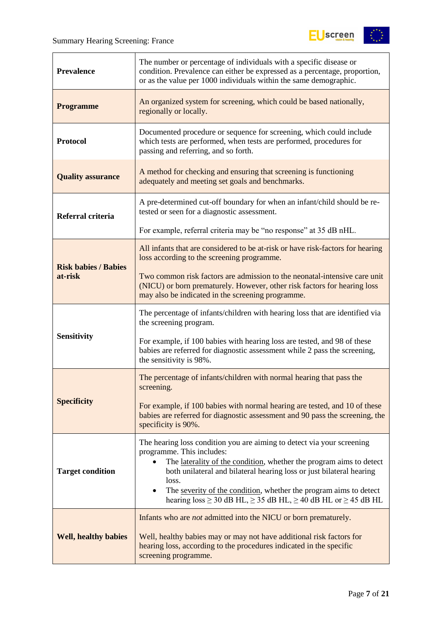$\overline{a}$ 



| <b>Prevalence</b>           | The number or percentage of individuals with a specific disease or<br>condition. Prevalence can either be expressed as a percentage, proportion,<br>or as the value per 1000 individuals within the same demographic.                                                                                                                                                                                                          |  |  |  |
|-----------------------------|--------------------------------------------------------------------------------------------------------------------------------------------------------------------------------------------------------------------------------------------------------------------------------------------------------------------------------------------------------------------------------------------------------------------------------|--|--|--|
| <b>Programme</b>            | An organized system for screening, which could be based nationally,<br>regionally or locally.                                                                                                                                                                                                                                                                                                                                  |  |  |  |
| <b>Protocol</b>             | Documented procedure or sequence for screening, which could include<br>which tests are performed, when tests are performed, procedures for<br>passing and referring, and so forth.                                                                                                                                                                                                                                             |  |  |  |
| <b>Quality assurance</b>    | A method for checking and ensuring that screening is functioning<br>adequately and meeting set goals and benchmarks.                                                                                                                                                                                                                                                                                                           |  |  |  |
| Referral criteria           | A pre-determined cut-off boundary for when an infant/child should be re-<br>tested or seen for a diagnostic assessment.                                                                                                                                                                                                                                                                                                        |  |  |  |
|                             | For example, referral criteria may be "no response" at 35 dB nHL.                                                                                                                                                                                                                                                                                                                                                              |  |  |  |
| <b>Risk babies / Babies</b> | All infants that are considered to be at-risk or have risk-factors for hearing<br>loss according to the screening programme.                                                                                                                                                                                                                                                                                                   |  |  |  |
| at-risk                     | Two common risk factors are admission to the neonatal-intensive care unit<br>(NICU) or born prematurely. However, other risk factors for hearing loss<br>may also be indicated in the screening programme.                                                                                                                                                                                                                     |  |  |  |
|                             | The percentage of infants/children with hearing loss that are identified via<br>the screening program.                                                                                                                                                                                                                                                                                                                         |  |  |  |
| <b>Sensitivity</b>          | For example, if 100 babies with hearing loss are tested, and 98 of these<br>babies are referred for diagnostic assessment while 2 pass the screening,<br>the sensitivity is 98%.                                                                                                                                                                                                                                               |  |  |  |
|                             | The percentage of infants/children with normal hearing that pass the<br>screening.                                                                                                                                                                                                                                                                                                                                             |  |  |  |
| <b>Specificity</b>          | For example, if 100 babies with normal hearing are tested, and 10 of these<br>babies are referred for diagnostic assessment and 90 pass the screening, the<br>specificity is 90%.                                                                                                                                                                                                                                              |  |  |  |
| <b>Target condition</b>     | The hearing loss condition you are aiming to detect via your screening<br>programme. This includes:<br>The laterality of the condition, whether the program aims to detect<br>both unilateral and bilateral hearing loss or just bilateral hearing<br>loss.<br>The severity of the condition, whether the program aims to detect<br>$\bullet$<br>hearing $loss \ge 30$ dB HL, $\ge 35$ dB HL, $\ge 40$ dB HL or $\ge 45$ dB HL |  |  |  |
|                             | Infants who are <i>not</i> admitted into the NICU or born prematurely.                                                                                                                                                                                                                                                                                                                                                         |  |  |  |
| <b>Well, healthy babies</b> | Well, healthy babies may or may not have additional risk factors for<br>hearing loss, according to the procedures indicated in the specific<br>screening programme.                                                                                                                                                                                                                                                            |  |  |  |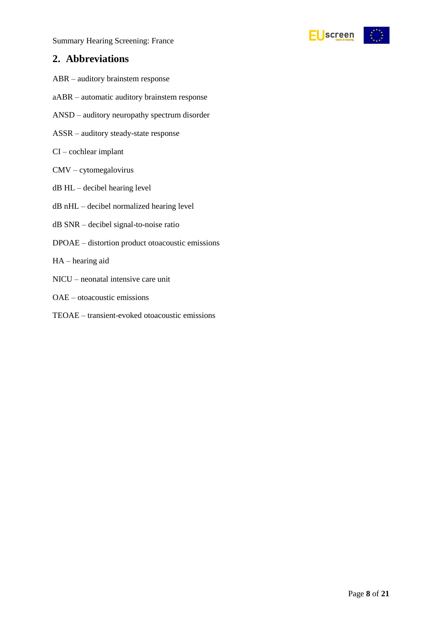

### <span id="page-7-0"></span>**2. Abbreviations**

- ABR auditory brainstem response
- aABR automatic auditory brainstem response
- ANSD auditory neuropathy spectrum disorder
- ASSR auditory steady-state response
- CI cochlear implant
- CMV cytomegalovirus
- dB HL decibel hearing level
- dB nHL decibel normalized hearing level
- dB SNR decibel signal-to-noise ratio
- DPOAE distortion product otoacoustic emissions
- HA hearing aid
- NICU neonatal intensive care unit
- OAE otoacoustic emissions
- TEOAE transient-evoked otoacoustic emissions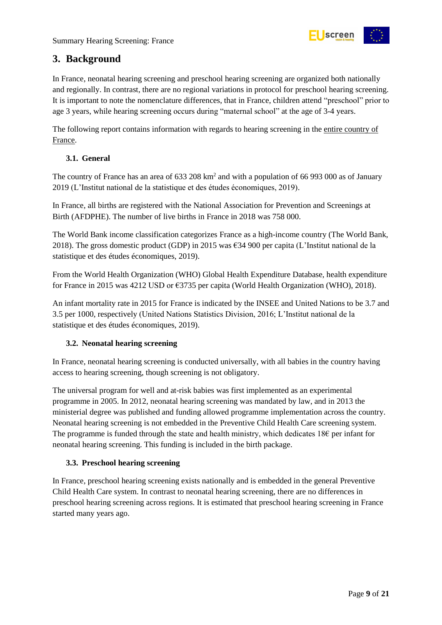

### <span id="page-8-0"></span>**3. Background**

In France, neonatal hearing screening and preschool hearing screening are organized both nationally and regionally. In contrast, there are no regional variations in protocol for preschool hearing screening. It is important to note the nomenclature differences, that in France, children attend "preschool" prior to age 3 years, while hearing screening occurs during "maternal school" at the age of 3-4 years.

The following report contains information with regards to hearing screening in the entire country of France.

#### <span id="page-8-1"></span>**3.1. General**

The country of France has an area of 633 208 km<sup>2</sup> and with a population of 66 993 000 as of January 2019 (L'Institut national de la statistique et des études économiques, 2019).

In France, all births are registered with the National Association for Prevention and Screenings at Birth (AFDPHE). The number of live births in France in 2018 was 758 000.

The World Bank income classification categorizes France as a high-income country (The World Bank, 2018). The gross domestic product (GDP) in 2015 was  $634\,900$  per capita (L'Institut national de la statistique et des études économiques, 2019).

From the World Health Organization (WHO) Global Health Expenditure Database, health expenditure for France in 2015 was 4212 USD or €3735 per capita (World Health Organization (WHO), 2018).

An infant mortality rate in 2015 for France is indicated by the INSEE and United Nations to be 3.7 and 3.5 per 1000, respectively (United Nations Statistics Division, 2016; L'Institut national de la statistique et des études économiques, 2019).

#### <span id="page-8-2"></span>**3.2. Neonatal hearing screening**

In France, neonatal hearing screening is conducted universally, with all babies in the country having access to hearing screening, though screening is not obligatory.

The universal program for well and at-risk babies was first implemented as an experimental programme in 2005. In 2012, neonatal hearing screening was mandated by law, and in 2013 the ministerial degree was published and funding allowed programme implementation across the country. Neonatal hearing screening is not embedded in the Preventive Child Health Care screening system. The programme is funded through the state and health ministry, which dedicates 18€ per infant for neonatal hearing screening. This funding is included in the birth package.

#### <span id="page-8-3"></span>**3.3. Preschool hearing screening**

In France, preschool hearing screening exists nationally and is embedded in the general Preventive Child Health Care system. In contrast to neonatal hearing screening, there are no differences in preschool hearing screening across regions. It is estimated that preschool hearing screening in France started many years ago.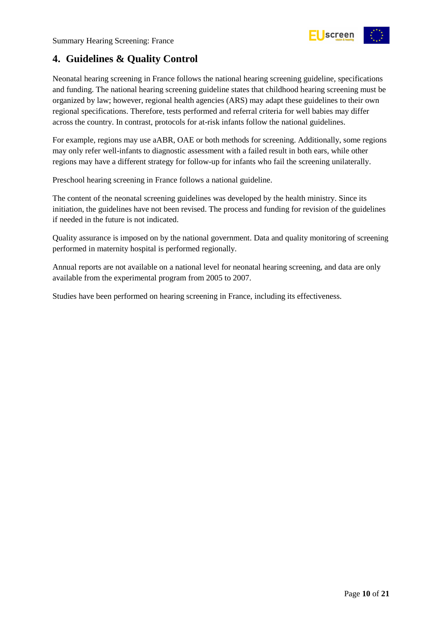

### <span id="page-9-0"></span>**4. Guidelines & Quality Control**

Neonatal hearing screening in France follows the national hearing screening guideline, specifications and funding. The national hearing screening guideline states that childhood hearing screening must be organized by law; however, regional health agencies (ARS) may adapt these guidelines to their own regional specifications. Therefore, tests performed and referral criteria for well babies may differ across the country. In contrast, protocols for at-risk infants follow the national guidelines.

For example, regions may use aABR, OAE or both methods for screening. Additionally, some regions may only refer well-infants to diagnostic assessment with a failed result in both ears, while other regions may have a different strategy for follow-up for infants who fail the screening unilaterally.

Preschool hearing screening in France follows a national guideline.

The content of the neonatal screening guidelines was developed by the health ministry. Since its initiation, the guidelines have not been revised. The process and funding for revision of the guidelines if needed in the future is not indicated.

Quality assurance is imposed on by the national government. Data and quality monitoring of screening performed in maternity hospital is performed regionally.

Annual reports are not available on a national level for neonatal hearing screening, and data are only available from the experimental program from 2005 to 2007.

Studies have been performed on hearing screening in France, including its effectiveness.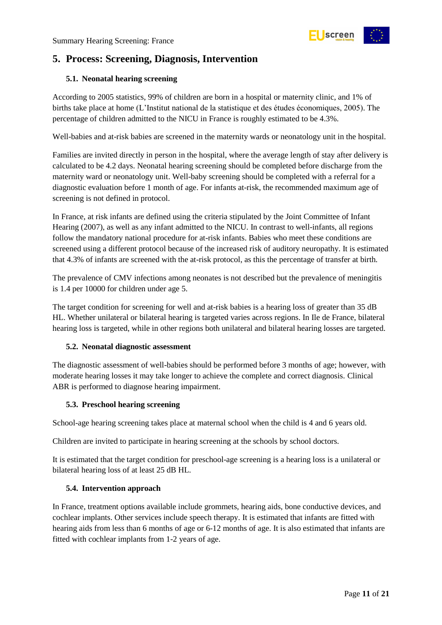

### <span id="page-10-0"></span>**5. Process: Screening, Diagnosis, Intervention**

#### <span id="page-10-1"></span>**5.1. Neonatal hearing screening**

According to 2005 statistics, 99% of children are born in a hospital or maternity clinic, and 1% of births take place at home (L'Institut national de la statistique et des études économiques, 2005). The percentage of children admitted to the NICU in France is roughly estimated to be 4.3%.

Well-babies and at-risk babies are screened in the maternity wards or neonatology unit in the hospital.

Families are invited directly in person in the hospital, where the average length of stay after delivery is calculated to be 4.2 days. Neonatal hearing screening should be completed before discharge from the maternity ward or neonatology unit. Well-baby screening should be completed with a referral for a diagnostic evaluation before 1 month of age. For infants at-risk, the recommended maximum age of screening is not defined in protocol.

In France, at risk infants are defined using the criteria stipulated by the Joint Committee of Infant Hearing (2007), as well as any infant admitted to the NICU. In contrast to well-infants, all regions follow the mandatory national procedure for at-risk infants. Babies who meet these conditions are screened using a different protocol because of the increased risk of auditory neuropathy. It is estimated that 4.3% of infants are screened with the at-risk protocol, as this the percentage of transfer at birth.

The prevalence of CMV infections among neonates is not described but the prevalence of meningitis is 1.4 per 10000 for children under age 5.

The target condition for screening for well and at-risk babies is a hearing loss of greater than 35 dB HL. Whether unilateral or bilateral hearing is targeted varies across regions. In Ile de France, bilateral hearing loss is targeted, while in other regions both unilateral and bilateral hearing losses are targeted.

#### <span id="page-10-2"></span>**5.2. Neonatal diagnostic assessment**

The diagnostic assessment of well-babies should be performed before 3 months of age; however, with moderate hearing losses it may take longer to achieve the complete and correct diagnosis. Clinical ABR is performed to diagnose hearing impairment.

#### <span id="page-10-3"></span>**5.3. Preschool hearing screening**

School-age hearing screening takes place at maternal school when the child is 4 and 6 years old.

Children are invited to participate in hearing screening at the schools by school doctors.

It is estimated that the target condition for preschool-age screening is a hearing loss is a unilateral or bilateral hearing loss of at least 25 dB HL.

#### <span id="page-10-4"></span>**5.4. Intervention approach**

In France, treatment options available include grommets, hearing aids, bone conductive devices, and cochlear implants. Other services include speech therapy. It is estimated that infants are fitted with hearing aids from less than 6 months of age or 6-12 months of age. It is also estimated that infants are fitted with cochlear implants from 1-2 years of age.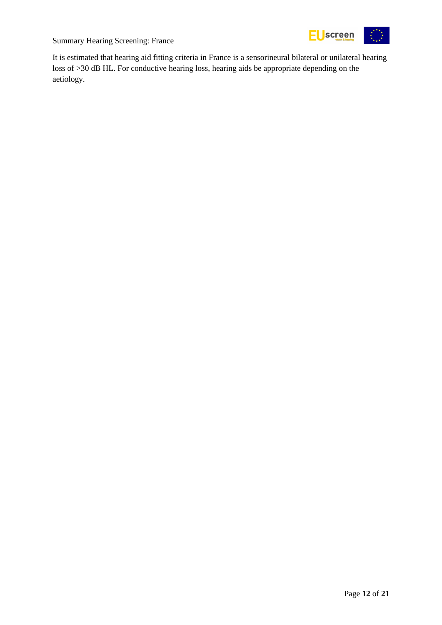

It is estimated that hearing aid fitting criteria in France is a sensorineural bilateral or unilateral hearing loss of >30 dB HL. For conductive hearing loss, hearing aids be appropriate depending on the aetiology.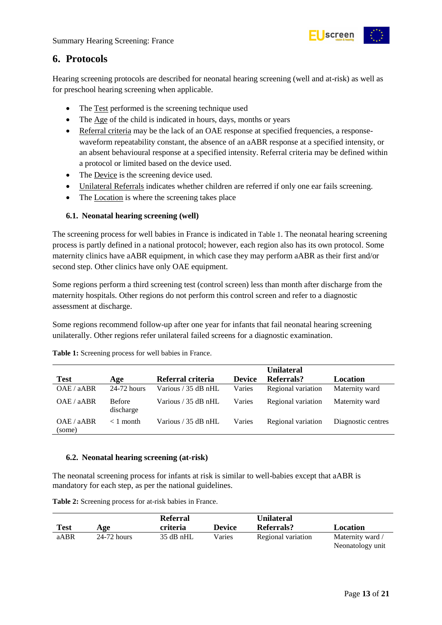

### <span id="page-12-0"></span>**6. Protocols**

Hearing screening protocols are described for neonatal hearing screening (well and at-risk) as well as for preschool hearing screening when applicable.

- The Test performed is the screening technique used
- The Age of the child is indicated in hours, days, months or years
- Referral criteria may be the lack of an OAE response at specified frequencies, a responsewaveform repeatability constant, the absence of an aABR response at a specified intensity, or an absent behavioural response at a specified intensity. Referral criteria may be defined within a protocol or limited based on the device used.
- The Device is the screening device used.
- Unilateral Referrals indicates whether children are referred if only one ear fails screening.
- The Location is where the screening takes place

#### <span id="page-12-1"></span>**6.1. Neonatal hearing screening (well)**

The screening process for well babies in France is indicated in [Table 1](#page-12-3). The neonatal hearing screening process is partly defined in a national protocol; however, each region also has its own protocol. Some maternity clinics have aABR equipment, in which case they may perform aABR as their first and/or second step. Other clinics have only OAE equipment.

Some regions perform a third screening test (control screen) less than month after discharge from the maternity hospitals. Other regions do not perform this control screen and refer to a diagnostic assessment at discharge.

Some regions recommend follow-up after one year for infants that fail neonatal hearing screening unilaterally. Other regions refer unilateral failed screens for a diagnostic examination.

|                      |                            |                       |               | <b>Unilateral</b>  |                    |
|----------------------|----------------------------|-----------------------|---------------|--------------------|--------------------|
| <b>Test</b>          | Age                        | Referral criteria     | <b>Device</b> | Referrals?         | Location           |
| OAE / aABR           | 24-72 hours                | Various $/$ 35 dB nHL | Varies        | Regional variation | Maternity ward     |
| OAE / aABR           | <b>Before</b><br>discharge | Various / 35 dB nHL   | Varies        | Regional variation | Maternity ward     |
| OAE / aABR<br>(some) | $< 1$ month                | Various / 35 dB nHL   | Varies        | Regional variation | Diagnostic centres |

<span id="page-12-3"></span>**Table 1:** Screening process for well babies in France.

#### <span id="page-12-2"></span>**6.2. Neonatal hearing screening (at-risk)**

The neonatal screening process for infants at risk is similar to well-babies except that aABR is mandatory for each step, as per the national guidelines.

<span id="page-12-4"></span>**Table 2:** Screening process for at-risk babies in France.

| Test | Age           | <b>Referral</b><br>criteria | <b>Device</b> | <b>Unilateral</b><br>Referrals? | Location                             |
|------|---------------|-----------------------------|---------------|---------------------------------|--------------------------------------|
| aABR | $24-72$ hours | 35 dB nHL                   | Varies        | Regional variation              | Maternity ward /<br>Neonatology unit |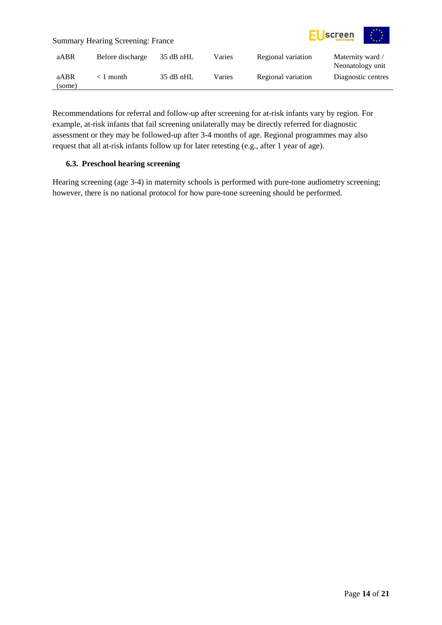

Recommendations for referral and follow-up after screening for at-risk infants vary by region. For example, at-risk infants that fail screening unilaterally may be directly referred for diagnostic assessment or they may be followed-up after 3-4 months of age. Regional programmes may also request that all at-risk infants follow up for later retesting (e.g., after 1 year of age).

#### <span id="page-13-0"></span>**6.3. Preschool hearing screening**

Hearing screening (age 3-4) in maternity schools is performed with pure-tone audiometry screening; however, there is no national protocol for how pure-tone screening should be performed.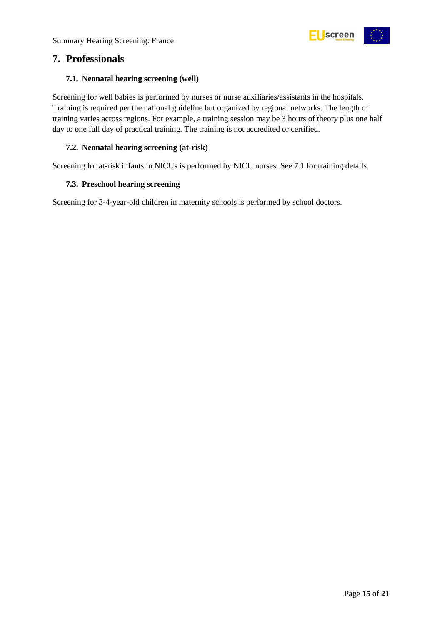

### <span id="page-14-0"></span>**7. Professionals**

#### <span id="page-14-1"></span>**7.1. Neonatal hearing screening (well)**

Screening for well babies is performed by nurses or nurse auxiliaries/assistants in the hospitals. Training is required per the national guideline but organized by regional networks. The length of training varies across regions. For example, a training session may be 3 hours of theory plus one half day to one full day of practical training. The training is not accredited or certified.

#### <span id="page-14-2"></span>**7.2. Neonatal hearing screening (at-risk)**

Screening for at-risk infants in NICUs is performed by NICU nurses. See 7.1 for training details.

#### <span id="page-14-3"></span>**7.3. Preschool hearing screening**

Screening for 3-4-year-old children in maternity schools is performed by school doctors.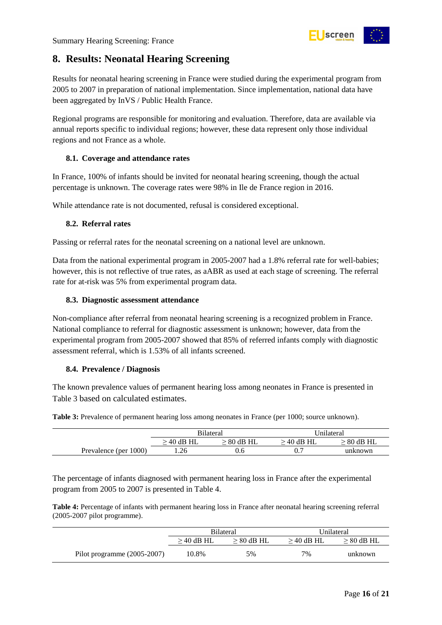

### <span id="page-15-0"></span>**8. Results: Neonatal Hearing Screening**

Results for neonatal hearing screening in France were studied during the experimental program from 2005 to 2007 in preparation of national implementation. Since implementation, national data have been aggregated by InVS / Public Health France.

Regional programs are responsible for monitoring and evaluation. Therefore, data are available via annual reports specific to individual regions; however, these data represent only those individual regions and not France as a whole.

#### <span id="page-15-1"></span>**8.1. Coverage and attendance rates**

In France, 100% of infants should be invited for neonatal hearing screening, though the actual percentage is unknown. The coverage rates were 98% in Ile de France region in 2016.

While attendance rate is not documented, refusal is considered exceptional.

#### <span id="page-15-2"></span>**8.2. Referral rates**

Passing or referral rates for the neonatal screening on a national level are unknown.

Data from the national experimental program in 2005-2007 had a 1.8% referral rate for well-babies; however, this is not reflective of true rates, as aABR as used at each stage of screening. The referral rate for at-risk was 5% from experimental program data.

#### <span id="page-15-3"></span>**8.3. Diagnostic assessment attendance**

Non-compliance after referral from neonatal hearing screening is a recognized problem in France. National compliance to referral for diagnostic assessment is unknown; however, data from the experimental program from 2005-2007 showed that 85% of referred infants comply with diagnostic assessment referral, which is 1.53% of all infants screened.

#### <span id="page-15-4"></span>**8.4. Prevalence / Diagnosis**

The known prevalence values of permanent hearing loss among neonates in France is presented in [Table 3](#page-15-5) based on calculated estimates.

<span id="page-15-5"></span>**Table 3:** Prevalence of permanent hearing loss among neonates in France (per 1000; source unknown).

|                       | <b>Bilateral</b><br>$\cdot$ 40 dB HL<br>$> 80$ dB HL |     | Jnilateral   |              |
|-----------------------|------------------------------------------------------|-----|--------------|--------------|
|                       |                                                      |     | $> 40$ dB HL | $> 80$ dB HL |
| Prevalence (per 1000) | 1.26                                                 | U.O | 0.′          | unknown      |

The percentage of infants diagnosed with permanent hearing loss in France after the experimental program from 2005 to 2007 is presented in Table 4.

<span id="page-15-6"></span>**Table 4:** Percentage of infants with permanent hearing loss in France after neonatal hearing screening referral (2005-2007 pilot programme).

|                               | <b>Bilateral</b> |                 | Unilateral   |                 |
|-------------------------------|------------------|-----------------|--------------|-----------------|
|                               | $\geq$ 40 dB HL  | $\geq 80$ dB HL | $>$ 40 dB HL | $\geq 80$ dB HL |
| Pilot programme $(2005-2007)$ | 10.8%            | 5%              | 7%           | unknown         |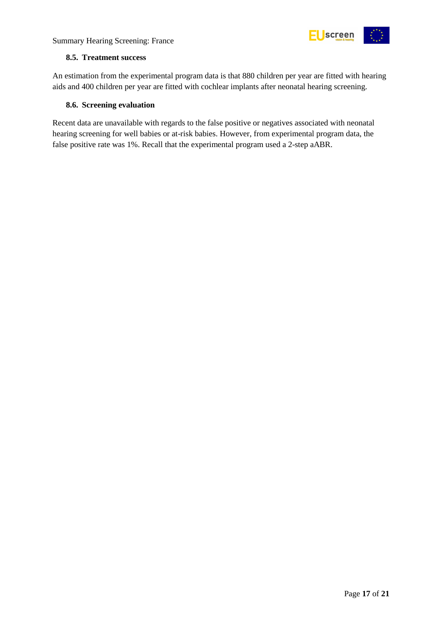



#### <span id="page-16-0"></span>**8.5. Treatment success**

An estimation from the experimental program data is that 880 children per year are fitted with hearing aids and 400 children per year are fitted with cochlear implants after neonatal hearing screening.

#### <span id="page-16-1"></span>**8.6. Screening evaluation**

Recent data are unavailable with regards to the false positive or negatives associated with neonatal hearing screening for well babies or at-risk babies. However, from experimental program data, the false positive rate was 1%. Recall that the experimental program used a 2-step aABR.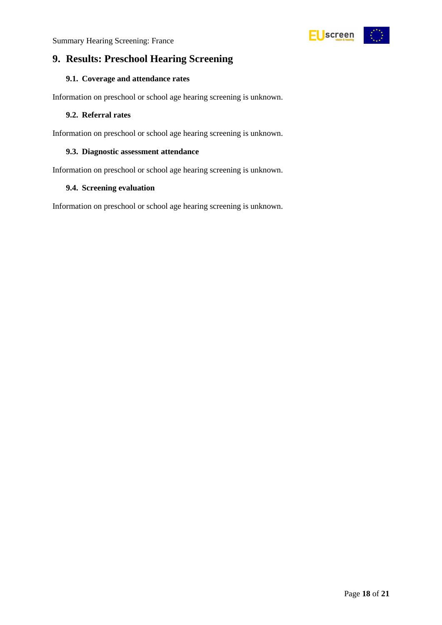

### <span id="page-17-0"></span>**9. Results: Preschool Hearing Screening**

#### <span id="page-17-1"></span>**9.1. Coverage and attendance rates**

Information on preschool or school age hearing screening is unknown.

#### <span id="page-17-2"></span>**9.2. Referral rates**

Information on preschool or school age hearing screening is unknown.

#### <span id="page-17-3"></span>**9.3. Diagnostic assessment attendance**

Information on preschool or school age hearing screening is unknown.

#### <span id="page-17-4"></span>**9.4. Screening evaluation**

Information on preschool or school age hearing screening is unknown.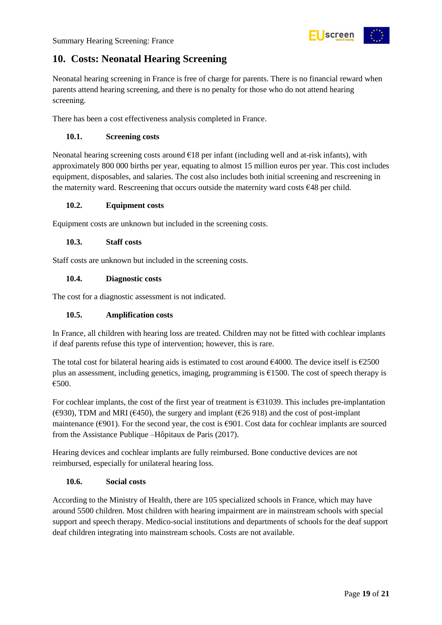

### <span id="page-18-0"></span>**10. Costs: Neonatal Hearing Screening**

Neonatal hearing screening in France is free of charge for parents. There is no financial reward when parents attend hearing screening, and there is no penalty for those who do not attend hearing screening.

There has been a cost effectiveness analysis completed in France.

#### <span id="page-18-1"></span>**10.1. Screening costs**

Neonatal hearing screening costs around  $E18$  per infant (including well and at-risk infants), with approximately 800 000 births per year, equating to almost 15 million euros per year. This cost includes equipment, disposables, and salaries. The cost also includes both initial screening and rescreening in the maternity ward. Rescreening that occurs outside the maternity ward costs €48 per child.

#### <span id="page-18-2"></span>**10.2. Equipment costs**

Equipment costs are unknown but included in the screening costs.

#### <span id="page-18-3"></span>**10.3. Staff costs**

Staff costs are unknown but included in the screening costs.

#### <span id="page-18-4"></span>**10.4. Diagnostic costs**

The cost for a diagnostic assessment is not indicated.

#### <span id="page-18-5"></span>**10.5. Amplification costs**

In France, all children with hearing loss are treated. Children may not be fitted with cochlear implants if deaf parents refuse this type of intervention; however, this is rare.

The total cost for bilateral hearing aids is estimated to cost around  $\epsilon$ 4000. The device itself is  $\epsilon$ 2500 plus an assessment, including genetics, imaging, programming is  $E1500$ . The cost of speech therapy is €500.

For cochlear implants, the cost of the first year of treatment is €31039. This includes pre-implantation ( $\epsilon$ 930), TDM and MRI ( $\epsilon$ 450), the surgery and implant ( $\epsilon$ 26 918) and the cost of post-implant maintenance ( $\epsilon$ 901). For the second year, the cost is  $\epsilon$ 901. Cost data for cochlear implants are sourced from the Assistance Publique –Hôpitaux de Paris (2017).

Hearing devices and cochlear implants are fully reimbursed. Bone conductive devices are not reimbursed, especially for unilateral hearing loss.

#### <span id="page-18-6"></span>**10.6. Social costs**

According to the Ministry of Health, there are 105 specialized schools in France, which may have around 5500 children. Most children with hearing impairment are in mainstream schools with special support and speech therapy. Medico-social institutions and departments of schools for the deaf support deaf children integrating into mainstream schools. Costs are not available.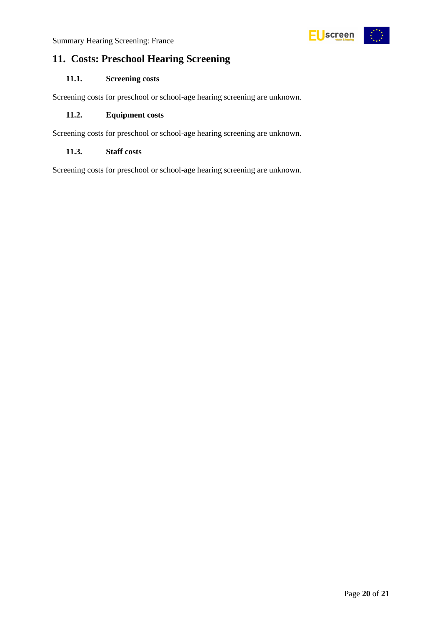### <span id="page-19-0"></span>**11. Costs: Preschool Hearing Screening**

#### <span id="page-19-1"></span>**11.1. Screening costs**

Screening costs for preschool or school-age hearing screening are unknown.

#### <span id="page-19-2"></span>**11.2. Equipment costs**

Screening costs for preschool or school-age hearing screening are unknown.

#### <span id="page-19-3"></span>**11.3. Staff costs**

Screening costs for preschool or school-age hearing screening are unknown.